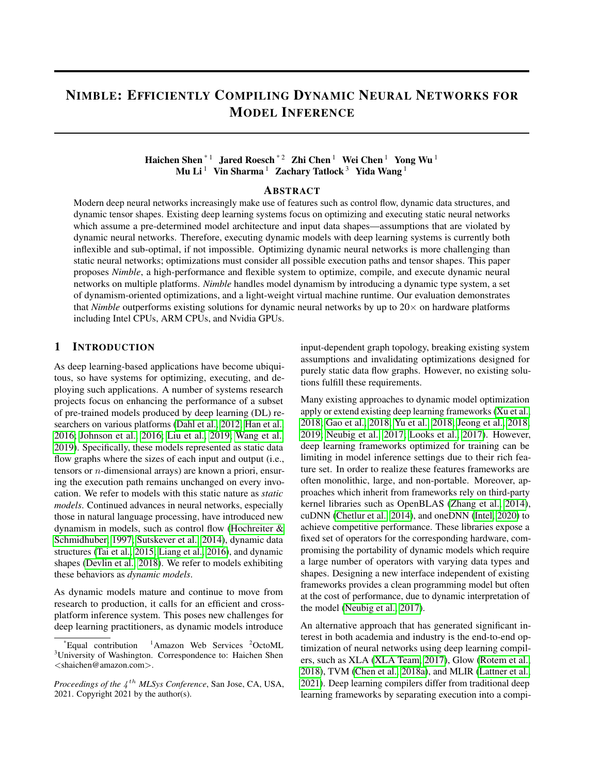# <span id="page-0-0"></span>NIMBLE: EFFICIENTLY COMPILING DYNAMIC NEURAL NETWORKS FOR MODEL INFERENCE

### Haichen Shen $^{\ast\,1}\;$  Jared Roesch $^{\ast\,2}\;$ Zhi Chen $^{\rm l}\;$  Wei Chen $^{\rm l}\;$  Yong Wu $^{\rm l}\;$ Mu Li<sup>1</sup> Vin Sharma<sup>1</sup> Zachary Tatlock<sup>3</sup> Yida Wang<sup>1</sup>

#### ABSTRACT

Modern deep neural networks increasingly make use of features such as control flow, dynamic data structures, and dynamic tensor shapes. Existing deep learning systems focus on optimizing and executing static neural networks which assume a pre-determined model architecture and input data shapes—assumptions that are violated by dynamic neural networks. Therefore, executing dynamic models with deep learning systems is currently both inflexible and sub-optimal, if not impossible. Optimizing dynamic neural networks is more challenging than static neural networks; optimizations must consider all possible execution paths and tensor shapes. This paper proposes *Nimble*, a high-performance and flexible system to optimize, compile, and execute dynamic neural networks on multiple platforms. *Nimble* handles model dynamism by introducing a dynamic type system, a set of dynamism-oriented optimizations, and a light-weight virtual machine runtime. Our evaluation demonstrates that *Nimble* outperforms existing solutions for dynamic neural networks by up to  $20 \times$  on hardware platforms including Intel CPUs, ARM CPUs, and Nvidia GPUs.

#### 1 INTRODUCTION

As deep learning-based applications have become ubiquitous, so have systems for optimizing, executing, and deploying such applications. A number of systems research projects focus on enhancing the performance of a subset of pre-trained models produced by deep learning (DL) researchers on various platforms [\(Dahl et al., 2012;](#page-10-0) [Han et al.,](#page-10-1) [2016;](#page-10-1) [Johnson et al., 2016;](#page-10-2) [Liu et al., 2019;](#page-11-0) [Wang et al.,](#page-11-1) [2019\)](#page-11-1). Specifically, these models represented as static data flow graphs where the sizes of each input and output (i.e., tensors or n-dimensional arrays) are known a priori, ensuring the execution path remains unchanged on every invocation. We refer to models with this static nature as *static models*. Continued advances in neural networks, especially those in natural language processing, have introduced new dynamism in models, such as control flow [\(Hochreiter &](#page-10-3) [Schmidhuber, 1997;](#page-10-3) [Sutskever et al., 2014\)](#page-11-2), dynamic data structures [\(Tai et al., 2015;](#page-11-3) [Liang et al., 2016\)](#page-11-4), and dynamic shapes [\(Devlin et al., 2018\)](#page-10-4). We refer to models exhibiting these behaviors as *dynamic models*.

As dynamic models mature and continue to move from research to production, it calls for an efficient and crossplatform inference system. This poses new challenges for deep learning practitioners, as dynamic models introduce

input-dependent graph topology, breaking existing system assumptions and invalidating optimizations designed for purely static data flow graphs. However, no existing solutions fulfill these requirements.

Many existing approaches to dynamic model optimization apply or extend existing deep learning frameworks [\(Xu et al.,](#page-11-5) [2018;](#page-11-5) [Gao et al., 2018;](#page-10-5) [Yu et al., 2018;](#page-12-0) [Jeong et al., 2018;](#page-10-6) [2019;](#page-10-7) [Neubig et al., 2017;](#page-11-6) [Looks et al., 2017\)](#page-11-7). However, deep learning frameworks optimized for training can be limiting in model inference settings due to their rich feature set. In order to realize these features frameworks are often monolithic, large, and non-portable. Moreover, approaches which inherit from frameworks rely on third-party kernel libraries such as OpenBLAS [\(Zhang et al., 2014\)](#page-12-1), cuDNN [\(Chetlur et al., 2014\)](#page-10-8), and oneDNN [\(Intel, 2020\)](#page-10-9) to achieve competitive performance. These libraries expose a fixed set of operators for the corresponding hardware, compromising the portability of dynamic models which require a large number of operators with varying data types and shapes. Designing a new interface independent of existing frameworks provides a clean programming model but often at the cost of performance, due to dynamic interpretation of the model [\(Neubig et al., 2017\)](#page-11-6).

An alternative approach that has generated significant interest in both academia and industry is the end-to-end optimization of neural networks using deep learning compilers, such as XLA [\(XLA Team, 2017\)](#page-11-8), Glow [\(Rotem et al.,](#page-11-9) [2018\)](#page-11-9), TVM [\(Chen et al., 2018a\)](#page-10-10), and MLIR [\(Lattner et al.,](#page-11-10) [2021\)](#page-11-10). Deep learning compilers differ from traditional deep learning frameworks by separating execution into a compi-

Equal contribution  $1$ Amazon Web Services  $2$ OctoML <sup>3</sup>University of Washington. Correspondence to: Haichen Shen <shaichen@amazon.com>.

Proceedings of the  $4^{th}$  MLSys Conference, San Jose, CA, USA, 2021. Copyright 2021 by the author(s).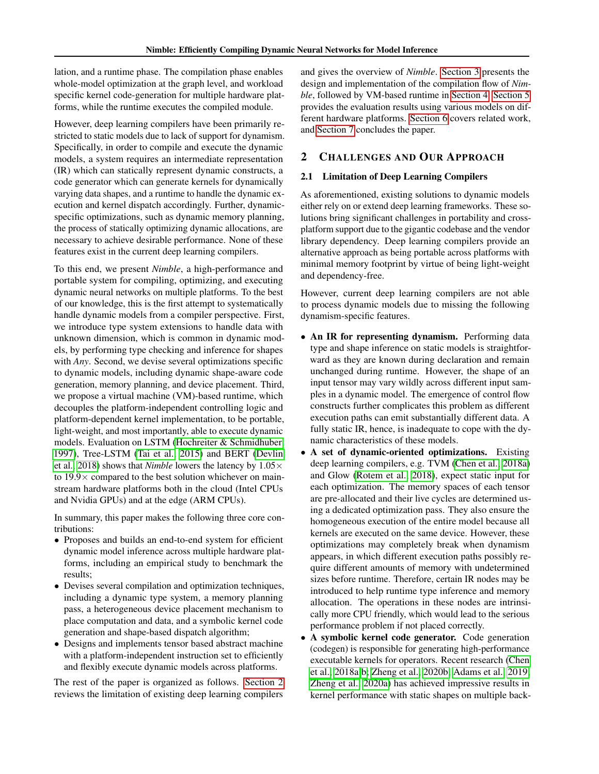lation, and a runtime phase. The compilation phase enables whole-model optimization at the graph level, and workload specific kernel code-generation for multiple hardware platforms, while the runtime executes the compiled module.

However, deep learning compilers have been primarily restricted to static models due to lack of support for dynamism. Specifically, in order to compile and execute the dynamic models, a system requires an intermediate representation (IR) which can statically represent dynamic constructs, a code generator which can generate kernels for dynamically varying data shapes, and a runtime to handle the dynamic execution and kernel dispatch accordingly. Further, dynamicspecific optimizations, such as dynamic memory planning, the process of statically optimizing dynamic allocations, are necessary to achieve desirable performance. None of these features exist in the current deep learning compilers.

To this end, we present *Nimble*, a high-performance and portable system for compiling, optimizing, and executing dynamic neural networks on multiple platforms. To the best of our knowledge, this is the first attempt to systematically handle dynamic models from a compiler perspective. First, we introduce type system extensions to handle data with unknown dimension, which is common in dynamic models, by performing type checking and inference for shapes with *Any*. Second, we devise several optimizations specific to dynamic models, including dynamic shape-aware code generation, memory planning, and device placement. Third, we propose a virtual machine (VM)-based runtime, which decouples the platform-independent controlling logic and platform-dependent kernel implementation, to be portable, light-weight, and most importantly, able to execute dynamic models. Evaluation on LSTM [\(Hochreiter & Schmidhuber,](#page-10-3) [1997\)](#page-10-3), Tree-LSTM [\(Tai et al., 2015\)](#page-11-3) and BERT [\(Devlin](#page-10-4) [et al., 2018\)](#page-10-4) shows that *Nimble* lowers the latency by 1.05× to  $19.9 \times$  compared to the best solution whichever on mainstream hardware platforms both in the cloud (Intel CPUs and Nvidia GPUs) and at the edge (ARM CPUs).

In summary, this paper makes the following three core contributions:

- Proposes and builds an end-to-end system for efficient dynamic model inference across multiple hardware platforms, including an empirical study to benchmark the results;
- Devises several compilation and optimization techniques, including a dynamic type system, a memory planning pass, a heterogeneous device placement mechanism to place computation and data, and a symbolic kernel code generation and shape-based dispatch algorithm;
- Designs and implements tensor based abstract machine with a platform-independent instruction set to efficiently and flexibly execute dynamic models across platforms.

The rest of the paper is organized as follows. [Section 2](#page-1-0) reviews the limitation of existing deep learning compilers

and gives the overview of *Nimble*. [Section 3](#page-2-0) presents the design and implementation of the compilation flow of *Nimble*, followed by VM-based runtime in [Section 4.](#page-6-0) [Section 5](#page-7-0) provides the evaluation results using various models on different hardware platforms. [Section 6](#page-9-0) covers related work, and [Section 7](#page-9-1) concludes the paper.

### <span id="page-1-0"></span>2 CHALLENGES AND OUR APPROACH

### 2.1 Limitation of Deep Learning Compilers

As aforementioned, existing solutions to dynamic models either rely on or extend deep learning frameworks. These solutions bring significant challenges in portability and crossplatform support due to the gigantic codebase and the vendor library dependency. Deep learning compilers provide an alternative approach as being portable across platforms with minimal memory footprint by virtue of being light-weight and dependency-free.

However, current deep learning compilers are not able to process dynamic models due to missing the following dynamism-specific features.

- An IR for representing dynamism. Performing data type and shape inference on static models is straightforward as they are known during declaration and remain unchanged during runtime. However, the shape of an input tensor may vary wildly across different input samples in a dynamic model. The emergence of control flow constructs further complicates this problem as different execution paths can emit substantially different data. A fully static IR, hence, is inadequate to cope with the dynamic characteristics of these models.
- A set of dynamic-oriented optimizations. Existing deep learning compilers, e.g. TVM [\(Chen et al., 2018a\)](#page-10-10) and Glow [\(Rotem et al., 2018\)](#page-11-9), expect static input for each optimization. The memory spaces of each tensor are pre-allocated and their live cycles are determined using a dedicated optimization pass. They also ensure the homogeneous execution of the entire model because all kernels are executed on the same device. However, these optimizations may completely break when dynamism appears, in which different execution paths possibly require different amounts of memory with undetermined sizes before runtime. Therefore, certain IR nodes may be introduced to help runtime type inference and memory allocation. The operations in these nodes are intrinsically more CPU friendly, which would lead to the serious performance problem if not placed correctly.
- A symbolic kernel code generator. Code generation (codegen) is responsible for generating high-performance executable kernels for operators. Recent research [\(Chen](#page-10-10) [et al., 2018a;](#page-10-10)[b;](#page-10-11) [Zheng et al., 2020b;](#page-12-2) [Adams et al., 2019;](#page-10-12) [Zheng et al., 2020a\)](#page-12-3) has achieved impressive results in kernel performance with static shapes on multiple back-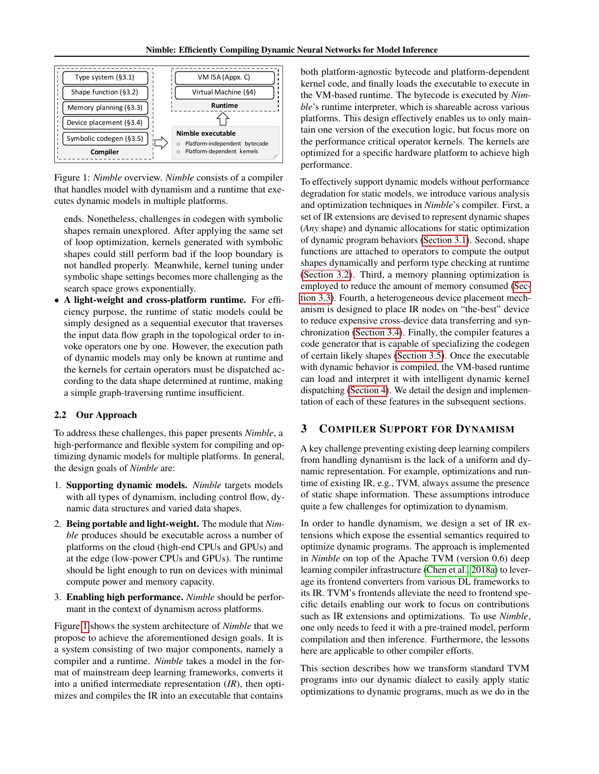<span id="page-2-1"></span>

Figure 1: *Nimble* overview. *Nimble* consists of a compiler that handles model with dynamism and a runtime that executes dynamic models in multiple platforms.

ends. Nonetheless, challenges in codegen with symbolic shapes remain unexplored. After applying the same set of loop optimization, kernels generated with symbolic shapes could still perform bad if the loop boundary is not handled properly. Meanwhile, kernel tuning under symbolic shape settings becomes more challenging as the search space grows exponentially.

• A light-weight and cross-platform runtime. For efficiency purpose, the runtime of static models could be simply designed as a sequential executor that traverses the input data flow graph in the topological order to invoke operators one by one. However, the execution path of dynamic models may only be known at runtime and the kernels for certain operators must be dispatched according to the data shape determined at runtime, making a simple graph-traversing runtime insufficient.

#### 2.2 Our Approach

To address these challenges, this paper presents *Nimble*, a high-performance and flexible system for compiling and optimizing dynamic models for multiple platforms. In general, the design goals of *Nimble* are:

- 1. Supporting dynamic models. *Nimble* targets models with all types of dynamism, including control flow, dynamic data structures and varied data shapes.
- 2. Being portable and light-weight. The module that *Nimble* produces should be executable across a number of platforms on the cloud (high-end CPUs and GPUs) and at the edge (low-power CPUs and GPUs). The runtime should be light enough to run on devices with minimal compute power and memory capacity.
- 3. Enabling high performance. *Nimble* should be performant in the context of dynamism across platforms.

Figure [1](#page-2-1) shows the system architecture of *Nimble* that we propose to achieve the aforementioned design goals. It is a system consisting of two major components, namely a compiler and a runtime. *Nimble* takes a model in the format of mainstream deep learning frameworks, converts it into a unified intermediate representation (*IR*), then optimizes and compiles the IR into an executable that contains

both platform-agnostic bytecode and platform-dependent kernel code, and finally loads the executable to execute in the VM-based runtime. The bytecode is executed by *Nimble*'s runtime interpreter, which is shareable across various platforms. This design effectively enables us to only maintain one version of the execution logic, but focus more on the performance critical operator kernels. The kernels are optimized for a specific hardware platform to achieve high performance.

To effectively support dynamic models without performance degradation for static models, we introduce various analysis and optimization techniques in *Nimble*'s compiler. First, a set of IR extensions are devised to represent dynamic shapes (*Any* shape) and dynamic allocations for static optimization of dynamic program behaviors [\(Section 3.1\)](#page-3-0). Second, shape functions are attached to operators to compute the output shapes dynamically and perform type checking at runtime [\(Section 3.2\)](#page-3-1). Third, a memory planning optimization is employed to reduce the amount of memory consumed [\(Sec](#page-4-0)[tion 3.3\)](#page-4-0). Fourth, a heterogeneous device placement mechanism is designed to place IR nodes on "the-best" device to reduce expensive cross-device data transferring and synchronization [\(Section 3.4\)](#page-5-0). Finally, the compiler features a code generator that is capable of specializing the codegen of certain likely shapes [\(Section 3.5\)](#page-5-1). Once the executable with dynamic behavior is compiled, the VM-based runtime can load and interpret it with intelligent dynamic kernel dispatching [\(Section 4\)](#page-6-0). We detail the design and implementation of each of these features in the subsequent sections.

### <span id="page-2-0"></span>3 COMPILER SUPPORT FOR DYNAMISM

A key challenge preventing existing deep learning compilers from handling dynamism is the lack of a uniform and dynamic representation. For example, optimizations and runtime of existing IR, e.g., TVM, always assume the presence of static shape information. These assumptions introduce quite a few challenges for optimization to dynamism.

In order to handle dynamism, we design a set of IR extensions which expose the essential semantics required to optimize dynamic programs. The approach is implemented in *Nimble* on top of the Apache TVM (version 0.6) deep learning compiler infrastructure [\(Chen et al., 2018a\)](#page-10-10) to leverage its frontend converters from various DL frameworks to its IR. TVM's frontends alleviate the need to frontend specific details enabling our work to focus on contributions such as IR extensions and optimizations. To use *Nimble*, one only needs to feed it with a pre-trained model, perform compilation and then inference. Furthermore, the lessons here are applicable to other compiler efforts.

This section describes how we transform standard TVM programs into our dynamic dialect to easily apply static optimizations to dynamic programs, much as we do in the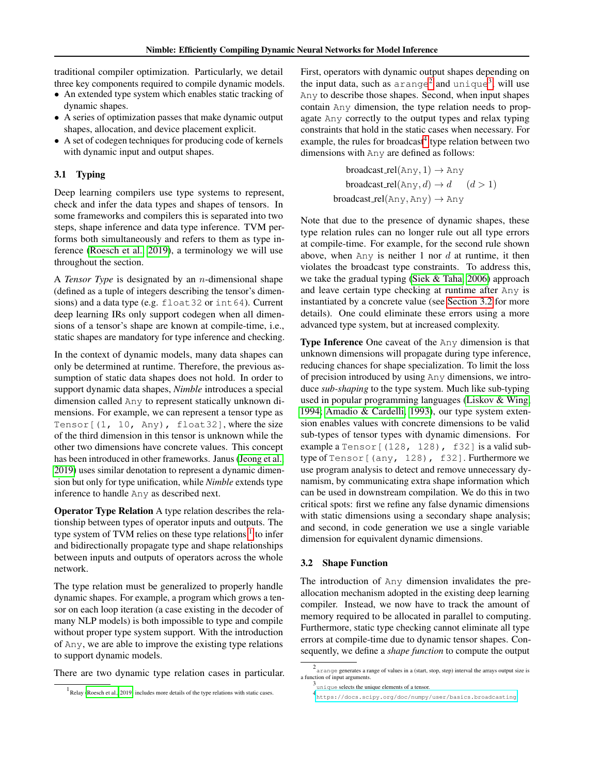traditional compiler optimization. Particularly, we detail three key components required to compile dynamic models.

- An extended type system which enables static tracking of dynamic shapes.
- A series of optimization passes that make dynamic output shapes, allocation, and device placement explicit.
- A set of codegen techniques for producing code of kernels with dynamic input and output shapes.

### <span id="page-3-0"></span>3.1 Typing

Deep learning compilers use type systems to represent, check and infer the data types and shapes of tensors. In some frameworks and compilers this is separated into two steps, shape inference and data type inference. TVM performs both simultaneously and refers to them as type inference [\(Roesch et al., 2019\)](#page-11-11), a terminology we will use throughout the section.

A *Tensor Type* is designated by an n-dimensional shape (defined as a tuple of integers describing the tensor's dimensions) and a data type (e.g. float 32 or int64). Current deep learning IRs only support codegen when all dimensions of a tensor's shape are known at compile-time, i.e., static shapes are mandatory for type inference and checking.

In the context of dynamic models, many data shapes can only be determined at runtime. Therefore, the previous assumption of static data shapes does not hold. In order to support dynamic data shapes, *Nimble* introduces a special dimension called Any to represent statically unknown dimensions. For example, we can represent a tensor type as Tensor $[(1, 10, \text{Any}),$  float 32], where the size of the third dimension in this tensor is unknown while the other two dimensions have concrete values. This concept has been introduced in other frameworks. Janus [\(Jeong et al.,](#page-10-7) [2019\)](#page-10-7) uses similar denotation to represent a dynamic dimension but only for type unification, while *Nimble* extends type inference to handle Any as described next.

Operator Type Relation A type relation describes the relationship between types of operator inputs and outputs. The type system of TVM relies on these type relations  $1$  to infer and bidirectionally propagate type and shape relationships between inputs and outputs of operators across the whole network.

The type relation must be generalized to properly handle dynamic shapes. For example, a program which grows a tensor on each loop iteration (a case existing in the decoder of many NLP models) is both impossible to type and compile without proper type system support. With the introduction of Any, we are able to improve the existing type relations to support dynamic models.

There are two dynamic type relation cases in particular.

First, operators with dynamic output shapes depending on the input data, such as  $\arange^2$  $\arange^2$  and  $\arange^3$  $\arange^3$ , will use Any to describe those shapes. Second, when input shapes contain Any dimension, the type relation needs to propagate Any correctly to the output types and relax typing constraints that hold in the static cases when necessary. For example, the rules for broadcast<sup>[4](#page-3-5)</sup> type relation between two dimensions with Any are defined as follows:

> $broadcast_{rel(Any, 1)} \rightarrow Any$ broadcast\_rel(Any, d)  $\rightarrow d$  (d > 1)  $broadcast\_rel(Any, Any) \rightarrow Any$

Note that due to the presence of dynamic shapes, these type relation rules can no longer rule out all type errors at compile-time. For example, for the second rule shown above, when  $Any$  is neither 1 nor  $d$  at runtime, it then violates the broadcast type constraints. To address this, we take the gradual typing [\(Siek & Taha, 2006\)](#page-11-12) approach and leave certain type checking at runtime after Any is instantiated by a concrete value (see [Section 3.2](#page-3-1) for more details). One could eliminate these errors using a more advanced type system, but at increased complexity.

Type Inference One caveat of the Any dimension is that unknown dimensions will propagate during type inference, reducing chances for shape specialization. To limit the loss of precision introduced by using Any dimensions, we introduce *sub-shaping* to the type system. Much like sub-typing used in popular programming languages [\(Liskov & Wing,](#page-11-13) [1994;](#page-11-13) [Amadio & Cardelli, 1993\)](#page-10-13), our type system extension enables values with concrete dimensions to be valid sub-types of tensor types with dynamic dimensions. For example a Tensor [(128, 128), f32] is a valid subtype of Tensor [(any, 128), f32]. Furthermore we use program analysis to detect and remove unnecessary dynamism, by communicating extra shape information which can be used in downstream compilation. We do this in two critical spots: first we refine any false dynamic dimensions with static dimensions using a secondary shape analysis; and second, in code generation we use a single variable dimension for equivalent dynamic dimensions.

#### <span id="page-3-1"></span>3.2 Shape Function

The introduction of Any dimension invalidates the preallocation mechanism adopted in the existing deep learning compiler. Instead, we now have to track the amount of memory required to be allocated in parallel to computing. Furthermore, static type checking cannot eliminate all type errors at compile-time due to dynamic tensor shapes. Consequently, we define a *shape function* to compute the output

<span id="page-3-2"></span><sup>1</sup> Relay [\(Roesch et al., 2019\)](#page-11-11) includes more details of the type relations with static cases.

<span id="page-3-3"></span><sup>2</sup> arange generates a range of values in a (start, stop, step) interval the arrays output size is a function of input arguments.

<span id="page-3-4"></span><sup>3</sup> unique selects the unique elements of a tensor.

<span id="page-3-5"></span><sup>4</sup> <https://docs.scipy.org/doc/numpy/user/basics.broadcasting>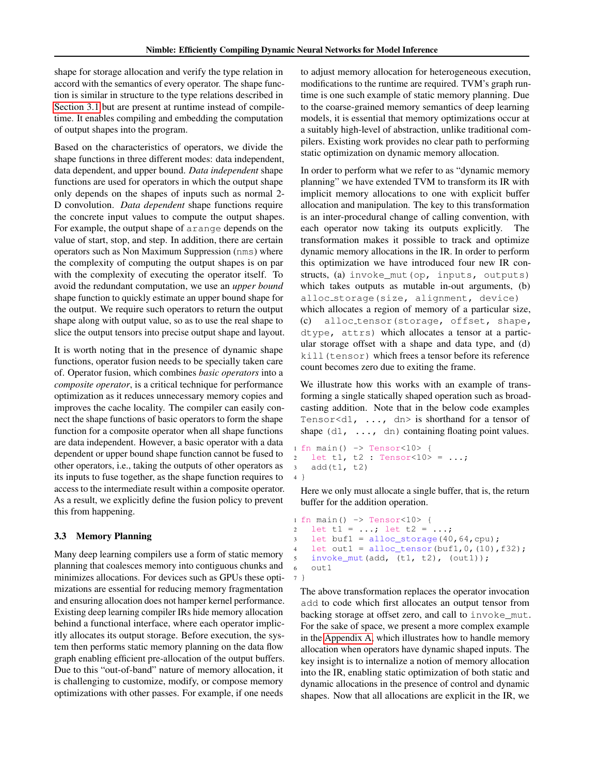shape for storage allocation and verify the type relation in accord with the semantics of every operator. The shape function is similar in structure to the type relations described in [Section 3.1](#page-3-0) but are present at runtime instead of compiletime. It enables compiling and embedding the computation of output shapes into the program.

Based on the characteristics of operators, we divide the shape functions in three different modes: data independent, data dependent, and upper bound. *Data independent* shape functions are used for operators in which the output shape only depends on the shapes of inputs such as normal 2- D convolution. *Data dependent* shape functions require the concrete input values to compute the output shapes. For example, the output shape of arange depends on the value of start, stop, and step. In addition, there are certain operators such as Non Maximum Suppression (nms) where the complexity of computing the output shapes is on par with the complexity of executing the operator itself. To avoid the redundant computation, we use an *upper bound* shape function to quickly estimate an upper bound shape for the output. We require such operators to return the output shape along with output value, so as to use the real shape to slice the output tensors into precise output shape and layout.

It is worth noting that in the presence of dynamic shape functions, operator fusion needs to be specially taken care of. Operator fusion, which combines *basic operators* into a *composite operator*, is a critical technique for performance optimization as it reduces unnecessary memory copies and improves the cache locality. The compiler can easily connect the shape functions of basic operators to form the shape function for a composite operator when all shape functions are data independent. However, a basic operator with a data dependent or upper bound shape function cannot be fused to other operators, i.e., taking the outputs of other operators as its inputs to fuse together, as the shape function requires to access to the intermediate result within a composite operator. As a result, we explicitly define the fusion policy to prevent this from happening.

### <span id="page-4-0"></span>3.3 Memory Planning

Many deep learning compilers use a form of static memory planning that coalesces memory into contiguous chunks and minimizes allocations. For devices such as GPUs these optimizations are essential for reducing memory fragmentation and ensuring allocation does not hamper kernel performance. Existing deep learning compiler IRs hide memory allocation behind a functional interface, where each operator implicitly allocates its output storage. Before execution, the system then performs static memory planning on the data flow graph enabling efficient pre-allocation of the output buffers. Due to this "out-of-band" nature of memory allocation, it is challenging to customize, modify, or compose memory optimizations with other passes. For example, if one needs

to adjust memory allocation for heterogeneous execution, modifications to the runtime are required. TVM's graph runtime is one such example of static memory planning. Due to the coarse-grained memory semantics of deep learning models, it is essential that memory optimizations occur at a suitably high-level of abstraction, unlike traditional compilers. Existing work provides no clear path to performing static optimization on dynamic memory allocation.

In order to perform what we refer to as "dynamic memory planning" we have extended TVM to transform its IR with implicit memory allocations to one with explicit buffer allocation and manipulation. The key to this transformation is an inter-procedural change of calling convention, with each operator now taking its outputs explicitly. The transformation makes it possible to track and optimize dynamic memory allocations in the IR. In order to perform this optimization we have introduced four new IR constructs, (a) invoke\_mut(op, inputs, outputs) which takes outputs as mutable in-out arguments, (b) alloc storage(size, alignment, device) which allocates a region of memory of a particular size, (c) alloc tensor(storage, offset, shape, dtype, attrs) which allocates a tensor at a particular storage offset with a shape and data type, and (d) kill(tensor) which frees a tensor before its reference count becomes zero due to exiting the frame.

We illustrate how this works with an example of transforming a single statically shaped operation such as broadcasting addition. Note that in the below code examples Tensor<d1,  $\dots$ , dn> is shorthand for a tensor of shape  $(d1, \ldots, dn)$  containing floating point values.

```
1 fn main() \rightarrow Tensor<10> {
2 let t1, t2 : Tensor<10> = ...;
3 add(t1, t2)
4 }
```
Here we only must allocate a single buffer, that is, the return buffer for the addition operation.

```
1 fn main() -> Tensor<10> {
2 let t1 = ...; let t2 = ...;3 let buf1 = alloc_storage(40,64,cpu);
   let out1 = alloc_tensor(buf1, 0, (10), f32);
5 invoke_mut(add, (t1, t2), (out1));
6 \quad 011 + 17 }
```
The above transformation replaces the operator invocation add to code which first allocates an output tensor from backing storage at offset zero, and call to invoke\_mut. For the sake of space, we present a more complex example in the [Appendix A,](#page-13-0) which illustrates how to handle memory allocation when operators have dynamic shaped inputs. The key insight is to internalize a notion of memory allocation into the IR, enabling static optimization of both static and dynamic allocations in the presence of control and dynamic shapes. Now that all allocations are explicit in the IR, we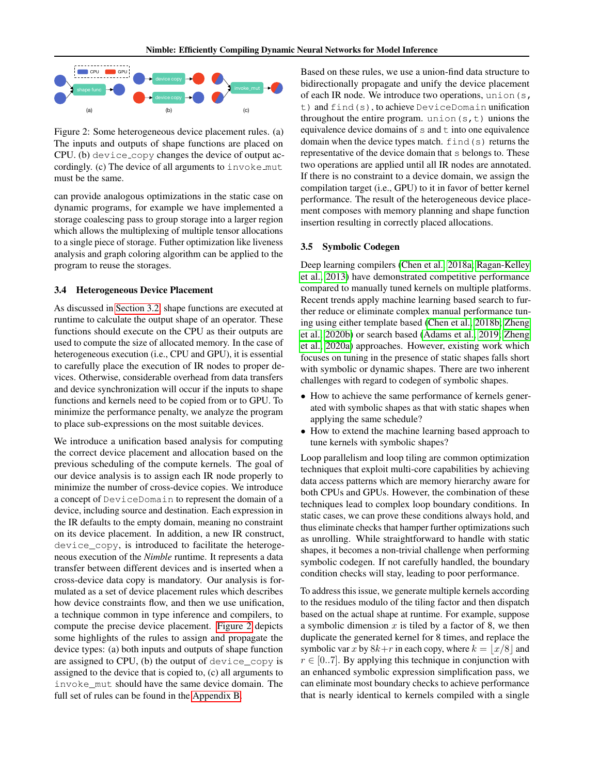<span id="page-5-2"></span>

Figure 2: Some heterogeneous device placement rules. (a) The inputs and outputs of shape functions are placed on CPU. (b) device copy changes the device of output accordingly. (c) The device of all arguments to invoke mut must be the same.

can provide analogous optimizations in the static case on dynamic programs, for example we have implemented a storage coalescing pass to group storage into a larger region which allows the multiplexing of multiple tensor allocations to a single piece of storage. Futher optimization like liveness analysis and graph coloring algorithm can be applied to the program to reuse the storages.

#### <span id="page-5-0"></span>3.4 Heterogeneous Device Placement

As discussed in [Section 3.2,](#page-3-1) shape functions are executed at runtime to calculate the output shape of an operator. These functions should execute on the CPU as their outputs are used to compute the size of allocated memory. In the case of heterogeneous execution (i.e., CPU and GPU), it is essential to carefully place the execution of IR nodes to proper devices. Otherwise, considerable overhead from data transfers and device synchronization will occur if the inputs to shape functions and kernels need to be copied from or to GPU. To minimize the performance penalty, we analyze the program to place sub-expressions on the most suitable devices.

We introduce a unification based analysis for computing the correct device placement and allocation based on the previous scheduling of the compute kernels. The goal of our device analysis is to assign each IR node properly to minimize the number of cross-device copies. We introduce a concept of DeviceDomain to represent the domain of a device, including source and destination. Each expression in the IR defaults to the empty domain, meaning no constraint on its device placement. In addition, a new IR construct, device\_copy, is introduced to facilitate the heterogeneous execution of the *Nimble* runtime. It represents a data transfer between different devices and is inserted when a cross-device data copy is mandatory. Our analysis is formulated as a set of device placement rules which describes how device constraints flow, and then we use unification, a technique common in type inference and compilers, to compute the precise device placement. [Figure 2](#page-5-2) depicts some highlights of the rules to assign and propagate the device types: (a) both inputs and outputs of shape function are assigned to CPU, (b) the output of device\_copy is assigned to the device that is copied to, (c) all arguments to invoke\_mut should have the same device domain. The full set of rules can be found in the [Appendix B.](#page-13-1)

Based on these rules, we use a union-find data structure to bidirectionally propagate and unify the device placement of each IR node. We introduce two operations, union (s, t) and find(s), to achieve DeviceDomain unification throughout the entire program. union  $(s, t)$  unions the equivalence device domains of  $s$  and  $t$  into one equivalence domain when the device types match. find(s) returns the representative of the device domain that s belongs to. These two operations are applied until all IR nodes are annotated. If there is no constraint to a device domain, we assign the compilation target (i.e., GPU) to it in favor of better kernel performance. The result of the heterogeneous device placement composes with memory planning and shape function insertion resulting in correctly placed allocations.

#### <span id="page-5-1"></span>3.5 Symbolic Codegen

Deep learning compilers [\(Chen et al., 2018a;](#page-10-10) [Ragan-Kelley](#page-11-14) [et al., 2013\)](#page-11-14) have demonstrated competitive performance compared to manually tuned kernels on multiple platforms. Recent trends apply machine learning based search to further reduce or eliminate complex manual performance tuning using either template based [\(Chen et al., 2018b;](#page-10-11) [Zheng](#page-12-2) [et al., 2020b\)](#page-12-2) or search based [\(Adams et al., 2019;](#page-10-12) [Zheng](#page-12-3) [et al., 2020a\)](#page-12-3) approaches. However, existing work which focuses on tuning in the presence of static shapes falls short with symbolic or dynamic shapes. There are two inherent challenges with regard to codegen of symbolic shapes.

- How to achieve the same performance of kernels generated with symbolic shapes as that with static shapes when applying the same schedule?
- How to extend the machine learning based approach to tune kernels with symbolic shapes?

Loop parallelism and loop tiling are common optimization techniques that exploit multi-core capabilities by achieving data access patterns which are memory hierarchy aware for both CPUs and GPUs. However, the combination of these techniques lead to complex loop boundary conditions. In static cases, we can prove these conditions always hold, and thus eliminate checks that hamper further optimizations such as unrolling. While straightforward to handle with static shapes, it becomes a non-trivial challenge when performing symbolic codegen. If not carefully handled, the boundary condition checks will stay, leading to poor performance.

To address this issue, we generate multiple kernels according to the residues modulo of the tiling factor and then dispatch based on the actual shape at runtime. For example, suppose a symbolic dimension  $x$  is tiled by a factor of 8, we then duplicate the generated kernel for 8 times, and replace the symbolic var x by  $8k+r$  in each copy, where  $k = |x/8|$  and  $r \in [0..7]$ . By applying this technique in conjunction with an enhanced symbolic expression simplification pass, we can eliminate most boundary checks to achieve performance that is nearly identical to kernels compiled with a single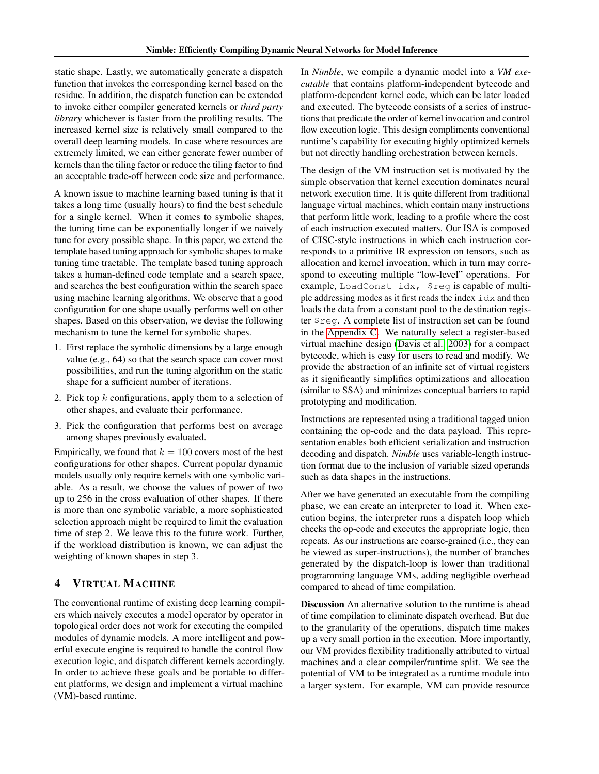static shape. Lastly, we automatically generate a dispatch function that invokes the corresponding kernel based on the residue. In addition, the dispatch function can be extended to invoke either compiler generated kernels or *third party library* whichever is faster from the profiling results. The increased kernel size is relatively small compared to the overall deep learning models. In case where resources are extremely limited, we can either generate fewer number of kernels than the tiling factor or reduce the tiling factor to find an acceptable trade-off between code size and performance.

A known issue to machine learning based tuning is that it takes a long time (usually hours) to find the best schedule for a single kernel. When it comes to symbolic shapes, the tuning time can be exponentially longer if we naively tune for every possible shape. In this paper, we extend the template based tuning approach for symbolic shapes to make tuning time tractable. The template based tuning approach takes a human-defined code template and a search space, and searches the best configuration within the search space using machine learning algorithms. We observe that a good configuration for one shape usually performs well on other shapes. Based on this observation, we devise the following mechanism to tune the kernel for symbolic shapes.

- 1. First replace the symbolic dimensions by a large enough value (e.g., 64) so that the search space can cover most possibilities, and run the tuning algorithm on the static shape for a sufficient number of iterations.
- 2. Pick top  $k$  configurations, apply them to a selection of other shapes, and evaluate their performance.
- 3. Pick the configuration that performs best on average among shapes previously evaluated.

Empirically, we found that  $k = 100$  covers most of the best configurations for other shapes. Current popular dynamic models usually only require kernels with one symbolic variable. As a result, we choose the values of power of two up to 256 in the cross evaluation of other shapes. If there is more than one symbolic variable, a more sophisticated selection approach might be required to limit the evaluation time of step 2. We leave this to the future work. Further, if the workload distribution is known, we can adjust the weighting of known shapes in step 3.

### <span id="page-6-0"></span>4 VIRTUAL MACHINE

The conventional runtime of existing deep learning compilers which naively executes a model operator by operator in topological order does not work for executing the compiled modules of dynamic models. A more intelligent and powerful execute engine is required to handle the control flow execution logic, and dispatch different kernels accordingly. In order to achieve these goals and be portable to different platforms, we design and implement a virtual machine (VM)-based runtime.

In *Nimble*, we compile a dynamic model into a *VM executable* that contains platform-independent bytecode and platform-dependent kernel code, which can be later loaded and executed. The bytecode consists of a series of instructions that predicate the order of kernel invocation and control flow execution logic. This design compliments conventional runtime's capability for executing highly optimized kernels but not directly handling orchestration between kernels.

The design of the VM instruction set is motivated by the simple observation that kernel execution dominates neural network execution time. It is quite different from traditional language virtual machines, which contain many instructions that perform little work, leading to a profile where the cost of each instruction executed matters. Our ISA is composed of CISC-style instructions in which each instruction corresponds to a primitive IR expression on tensors, such as allocation and kernel invocation, which in turn may correspond to executing multiple "low-level" operations. For example, LoadConst idx, \$reg is capable of multiple addressing modes as it first reads the index idx and then loads the data from a constant pool to the destination register \$reg. A complete list of instruction set can be found in the [Appendix C.](#page-13-2) We naturally select a register-based virtual machine design [\(Davis et al., 2003\)](#page-10-14) for a compact bytecode, which is easy for users to read and modify. We provide the abstraction of an infinite set of virtual registers as it significantly simplifies optimizations and allocation (similar to SSA) and minimizes conceptual barriers to rapid prototyping and modification.

Instructions are represented using a traditional tagged union containing the op-code and the data payload. This representation enables both efficient serialization and instruction decoding and dispatch. *Nimble* uses variable-length instruction format due to the inclusion of variable sized operands such as data shapes in the instructions.

After we have generated an executable from the compiling phase, we can create an interpreter to load it. When execution begins, the interpreter runs a dispatch loop which checks the op-code and executes the appropriate logic, then repeats. As our instructions are coarse-grained (i.e., they can be viewed as super-instructions), the number of branches generated by the dispatch-loop is lower than traditional programming language VMs, adding negligible overhead compared to ahead of time compilation.

Discussion An alternative solution to the runtime is ahead of time compilation to eliminate dispatch overhead. But due to the granularity of the operations, dispatch time makes up a very small portion in the execution. More importantly, our VM provides flexibility traditionally attributed to virtual machines and a clear compiler/runtime split. We see the potential of VM to be integrated as a runtime module into a larger system. For example, VM can provide resource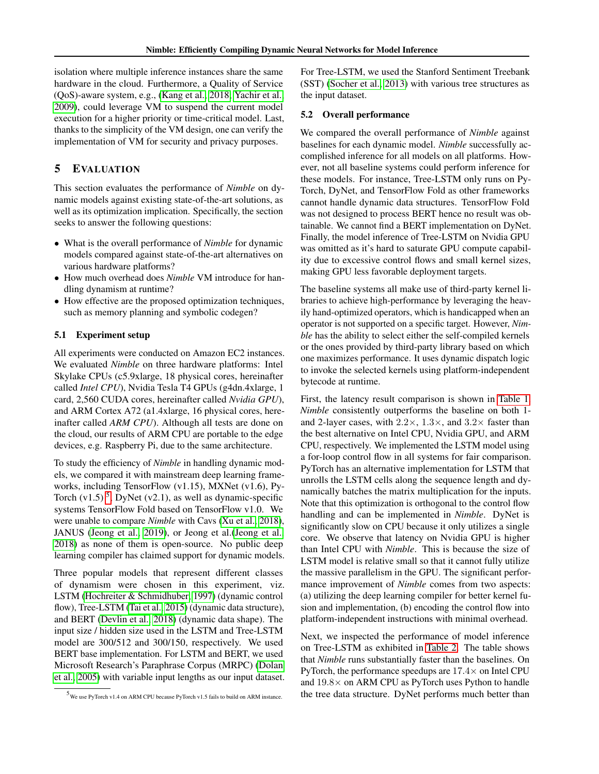isolation where multiple inference instances share the same hardware in the cloud. Furthermore, a Quality of Service (QoS)-aware system, e.g., [\(Kang et al., 2018;](#page-10-15) [Yachir et al.,](#page-11-15) [2009\)](#page-11-15), could leverage VM to suspend the current model execution for a higher priority or time-critical model. Last, thanks to the simplicity of the VM design, one can verify the implementation of VM for security and privacy purposes.

### <span id="page-7-0"></span>5 EVALUATION

This section evaluates the performance of *Nimble* on dynamic models against existing state-of-the-art solutions, as well as its optimization implication. Specifically, the section seeks to answer the following questions:

- What is the overall performance of *Nimble* for dynamic models compared against state-of-the-art alternatives on various hardware platforms?
- How much overhead does *Nimble* VM introduce for handling dynamism at runtime?
- How effective are the proposed optimization techniques, such as memory planning and symbolic codegen?

### 5.1 Experiment setup

All experiments were conducted on Amazon EC2 instances. We evaluated *Nimble* on three hardware platforms: Intel Skylake CPUs (c5.9xlarge, 18 physical cores, hereinafter called *Intel CPU*), Nvidia Tesla T4 GPUs (g4dn.4xlarge, 1 card, 2,560 CUDA cores, hereinafter called *Nvidia GPU*), and ARM Cortex A72 (a1.4xlarge, 16 physical cores, hereinafter called *ARM CPU*). Although all tests are done on the cloud, our results of ARM CPU are portable to the edge devices, e.g. Raspberry Pi, due to the same architecture.

To study the efficiency of *Nimble* in handling dynamic models, we compared it with mainstream deep learning frameworks, including TensorFlow (v1.15), MXNet (v1.6), Py-Torch  $(v1.5)$  $(v1.5)$  $(v1.5)$ <sup>5</sup>, DyNet  $(v2.1)$ , as well as dynamic-specific systems TensorFlow Fold based on TensorFlow v1.0. We were unable to compare *Nimble* with Cavs [\(Xu et al., 2018\)](#page-11-5), JANUS [\(Jeong et al., 2019\)](#page-10-7), or Jeong et al.[\(Jeong et al.,](#page-10-6) [2018\)](#page-10-6) as none of them is open-source. No public deep learning compiler has claimed support for dynamic models.

Three popular models that represent different classes of dynamism were chosen in this experiment, viz. LSTM [\(Hochreiter & Schmidhuber, 1997\)](#page-10-3) (dynamic control flow), Tree-LSTM [\(Tai et al., 2015\)](#page-11-3) (dynamic data structure), and BERT [\(Devlin et al., 2018\)](#page-10-4) (dynamic data shape). The input size / hidden size used in the LSTM and Tree-LSTM model are 300/512 and 300/150, respectively. We used BERT base implementation. For LSTM and BERT, we used Microsoft Research's Paraphrase Corpus (MRPC) [\(Dolan](#page-10-16) [et al., 2005\)](#page-10-16) with variable input lengths as our input dataset. For Tree-LSTM, we used the Stanford Sentiment Treebank (SST) [\(Socher et al., 2013\)](#page-11-16) with various tree structures as the input dataset.

#### 5.2 Overall performance

We compared the overall performance of *Nimble* against baselines for each dynamic model. *Nimble* successfully accomplished inference for all models on all platforms. However, not all baseline systems could perform inference for these models. For instance, Tree-LSTM only runs on Py-Torch, DyNet, and TensorFlow Fold as other frameworks cannot handle dynamic data structures. TensorFlow Fold was not designed to process BERT hence no result was obtainable. We cannot find a BERT implementation on DyNet. Finally, the model inference of Tree-LSTM on Nvidia GPU was omitted as it's hard to saturate GPU compute capability due to excessive control flows and small kernel sizes, making GPU less favorable deployment targets.

The baseline systems all make use of third-party kernel libraries to achieve high-performance by leveraging the heavily hand-optimized operators, which is handicapped when an operator is not supported on a specific target. However, *Nimble* has the ability to select either the self-compiled kernels or the ones provided by third-party library based on which one maximizes performance. It uses dynamic dispatch logic to invoke the selected kernels using platform-independent bytecode at runtime.

First, the latency result comparison is shown in [Table 1.](#page-8-0) *Nimble* consistently outperforms the baseline on both 1 and 2-layer cases, with  $2.2 \times$ ,  $1.3 \times$ , and  $3.2 \times$  faster than the best alternative on Intel CPU, Nvidia GPU, and ARM CPU, respectively. We implemented the LSTM model using a for-loop control flow in all systems for fair comparison. PyTorch has an alternative implementation for LSTM that unrolls the LSTM cells along the sequence length and dynamically batches the matrix multiplication for the inputs. Note that this optimization is orthogonal to the control flow handling and can be implemented in *Nimble*. DyNet is significantly slow on CPU because it only utilizes a single core. We observe that latency on Nvidia GPU is higher than Intel CPU with *Nimble*. This is because the size of LSTM model is relative small so that it cannot fully utilize the massive parallelism in the GPU. The significant performance improvement of *Nimble* comes from two aspects: (a) utilizing the deep learning compiler for better kernel fusion and implementation, (b) encoding the control flow into platform-independent instructions with minimal overhead.

Next, we inspected the performance of model inference on Tree-LSTM as exhibited in [Table 2.](#page-8-1) The table shows that *Nimble* runs substantially faster than the baselines. On PyTorch, the performance speedups are 17.4× on Intel CPU and 19.8× on ARM CPU as PyTorch uses Python to handle the tree data structure. DyNet performs much better than

<span id="page-7-1"></span> $5$  We use PyTorch v1.4 on ARM CPU because PyTorch v1.5 fails to build on ARM instance.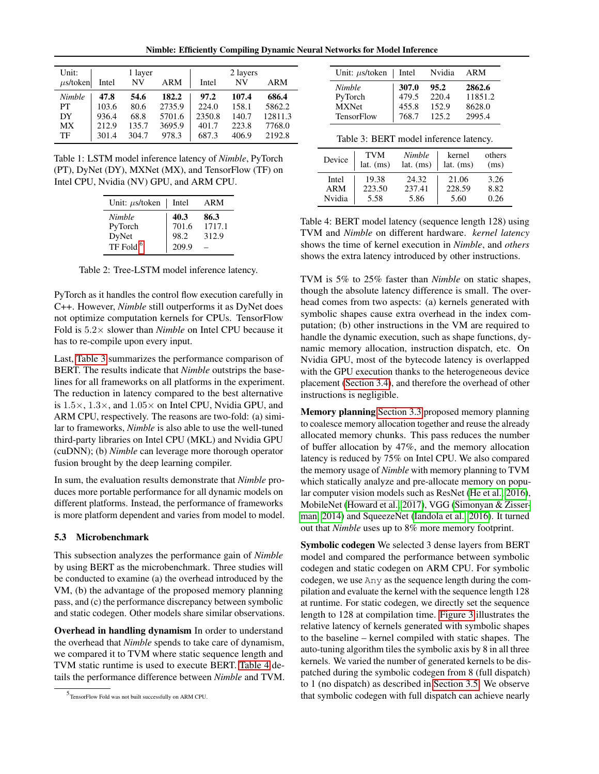Nimble: Efficiently Compiling Dynamic Neural Networks for Model Inference

<span id="page-8-0"></span>

| Unit:         | 1 layer |       |        | 2 layers |       |            |
|---------------|---------|-------|--------|----------|-------|------------|
| $\mu$ s/token | Intel   | NV    | ARM    | Intel    | NV    | <b>ARM</b> |
| Nimble        | 47.8    | 54.6  | 182.2  | 97.2     | 107.4 | 686.4      |
| PТ            | 103.6   | 80.6  | 2735.9 | 224.0    | 158.1 | 5862.2     |
| DY            | 936.4   | 68.8  | 5701.6 | 2350.8   | 140.7 | 12811.3    |
| <b>MX</b>     | 212.9   | 135.7 | 3695.9 | 401.7    | 223.8 | 7768.0     |
| TF            | 301.4   | 304.7 | 978.3  | 687.3    | 406.9 | 2192.8     |

<span id="page-8-1"></span>Table 1: LSTM model inference latency of *Nimble*, PyTorch (PT), DyNet (DY), MXNet (MX), and TensorFlow (TF) on Intel CPU, Nvidia (NV) GPU, and ARM CPU.

| Unit: $\mu$ s/token  | Intel | ARM    |
|----------------------|-------|--------|
| <b>Nimble</b>        | 40.3  | 86.3   |
| PyTorch              | 701.6 | 1717.1 |
| DyNet                | 98.2  | 312.9  |
| TF Fold <sup>6</sup> | 209.9 |        |

Table 2: Tree-LSTM model inference latency.

PyTorch as it handles the control flow execution carefully in C++. However, *Nimble* still outperforms it as DyNet does not optimize computation kernels for CPUs. TensorFlow Fold is 5.2× slower than *Nimble* on Intel CPU because it has to re-compile upon every input.

Last, [Table 3](#page-8-2) summarizes the performance comparison of BERT. The results indicate that *Nimble* outstrips the baselines for all frameworks on all platforms in the experiment. The reduction in latency compared to the best alternative is  $1.5 \times$ ,  $1.3 \times$ , and  $1.05 \times$  on Intel CPU, Nvidia GPU, and ARM CPU, respectively. The reasons are two-fold: (a) similar to frameworks, *Nimble* is also able to use the well-tuned third-party libraries on Intel CPU (MKL) and Nvidia GPU (cuDNN); (b) *Nimble* can leverage more thorough operator fusion brought by the deep learning compiler.

In sum, the evaluation results demonstrate that *Nimble* produces more portable performance for all dynamic models on different platforms. Instead, the performance of frameworks is more platform dependent and varies from model to model.

### 5.3 Microbenchmark

This subsection analyzes the performance gain of *Nimble* by using BERT as the microbenchmark. Three studies will be conducted to examine (a) the overhead introduced by the VM, (b) the advantage of the proposed memory planning pass, and (c) the performance discrepancy between symbolic and static codegen. Other models share similar observations.

Overhead in handling dynamism In order to understand the overhead that *Nimble* spends to take care of dynamism, we compared it to TVM where static sequence length and TVM static runtime is used to execute BERT. [Table 4](#page-8-3) details the performance difference between *Nimble* and TVM.

<span id="page-8-2"></span>

| Unit: $\mu$ s/token   Intel |       | Nvidia | ARM     |
|-----------------------------|-------|--------|---------|
| <b>Nimble</b>               | 307.0 | 95.2   | 2862.6  |
| PyTorch                     | 479.5 | 220.4  | 11851.2 |
| <b>MXNet</b>                | 455.8 | 152.9  | 8628.0  |
| <b>TensorFlow</b>           | 768.7 | 125.2  | 2995.4  |

|--|

<span id="page-8-3"></span>

| Device | <b>TVM</b><br>$lat.$ (ms) | Nimble<br>lat. $(ms)$ | kernel<br>lat. $(ms)$ | others<br>(ms) |
|--------|---------------------------|-----------------------|-----------------------|----------------|
| Intel  | 19.38                     | 24.32                 | 21.06                 | 3.26           |
| ARM    | 223.50                    | 237.41                | 228.59                | 8.82           |
| Nvidia | 5.58                      | 5.86                  | 5.60                  | 0.26           |

Table 4: BERT model latency (sequence length 128) using TVM and *Nimble* on different hardware. *kernel latency* shows the time of kernel execution in *Nimble*, and *others* shows the extra latency introduced by other instructions.

TVM is 5% to 25% faster than *Nimble* on static shapes, though the absolute latency difference is small. The overhead comes from two aspects: (a) kernels generated with symbolic shapes cause extra overhead in the index computation; (b) other instructions in the VM are required to handle the dynamic execution, such as shape functions, dynamic memory allocation, instruction dispatch, etc. On Nvidia GPU, most of the bytecode latency is overlapped with the GPU execution thanks to the heterogeneous device placement [\(Section 3.4\)](#page-5-0), and therefore the overhead of other instructions is negligible.

Memory planning [Section 3.3](#page-4-0) proposed memory planning to coalesce memory allocation together and reuse the already allocated memory chunks. This pass reduces the number of buffer allocation by 47%, and the memory allocation latency is reduced by 75% on Intel CPU. We also compared the memory usage of *Nimble* with memory planning to TVM which statically analyze and pre-allocate memory on popular computer vision models such as ResNet [\(He et al., 2016\)](#page-10-17), MobileNet [\(Howard et al., 2017\)](#page-10-18), VGG [\(Simonyan & Zisser](#page-11-17)[man, 2014\)](#page-11-17) and SqueezeNet [\(Iandola et al., 2016\)](#page-10-19). It turned out that *Nimble* uses up to 8% more memory footprint.

Symbolic codegen We selected 3 dense layers from BERT model and compared the performance between symbolic codegen and static codegen on ARM CPU. For symbolic codegen, we use Any as the sequence length during the compilation and evaluate the kernel with the sequence length 128 at runtime. For static codegen, we directly set the sequence length to 128 at compilation time. [Figure 3](#page-9-2) illustrates the relative latency of kernels generated with symbolic shapes to the baseline – kernel compiled with static shapes. The auto-tuning algorithm tiles the symbolic axis by 8 in all three kernels. We varied the number of generated kernels to be dispatched during the symbolic codegen from 8 (full dispatch) to 1 (no dispatch) as described in [Section 3.5.](#page-5-1) We observe that symbolic codegen with full dispatch can achieve nearly

<sup>5</sup> TensorFlow Fold was not built successfully on ARM CPU.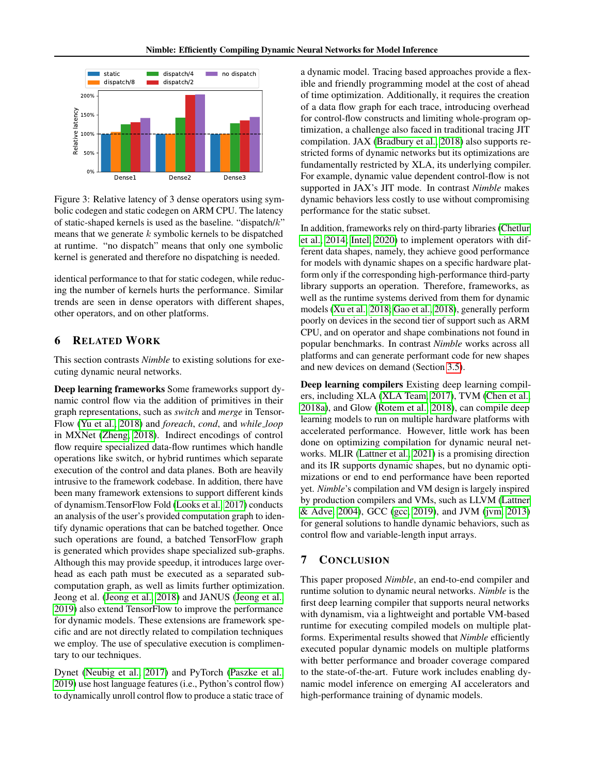<span id="page-9-2"></span>

Figure 3: Relative latency of 3 dense operators using symbolic codegen and static codegen on ARM CPU. The latency of static-shaped kernels is used as the baseline. "dispatch/k" means that we generate  $k$  symbolic kernels to be dispatched at runtime. "no dispatch" means that only one symbolic kernel is generated and therefore no dispatching is needed.

identical performance to that for static codegen, while reducing the number of kernels hurts the performance. Similar trends are seen in dense operators with different shapes, other operators, and on other platforms.

### <span id="page-9-0"></span>6 RELATED WORK

This section contrasts *Nimble* to existing solutions for executing dynamic neural networks.

Deep learning frameworks Some frameworks support dynamic control flow via the addition of primitives in their graph representations, such as *switch* and *merge* in Tensor-Flow [\(Yu et al., 2018\)](#page-12-0) and *foreach*, *cond*, and *while loop* in MXNet [\(Zheng, 2018\)](#page-12-4). Indirect encodings of control flow require specialized data-flow runtimes which handle operations like switch, or hybrid runtimes which separate execution of the control and data planes. Both are heavily intrusive to the framework codebase. In addition, there have been many framework extensions to support different kinds of dynamism.TensorFlow Fold [\(Looks et al., 2017\)](#page-11-7) conducts an analysis of the user's provided computation graph to identify dynamic operations that can be batched together. Once such operations are found, a batched TensorFlow graph is generated which provides shape specialized sub-graphs. Although this may provide speedup, it introduces large overhead as each path must be executed as a separated subcomputation graph, as well as limits further optimization. Jeong et al. [\(Jeong et al., 2018\)](#page-10-6) and JANUS [\(Jeong et al.,](#page-10-7) [2019\)](#page-10-7) also extend TensorFlow to improve the performance for dynamic models. These extensions are framework specific and are not directly related to compilation techniques we employ. The use of speculative execution is complimentary to our techniques.

Dynet [\(Neubig et al., 2017\)](#page-11-6) and PyTorch [\(Paszke et al.,](#page-11-18) [2019\)](#page-11-18) use host language features (i.e., Python's control flow) to dynamically unroll control flow to produce a static trace of

a dynamic model. Tracing based approaches provide a flexible and friendly programming model at the cost of ahead of time optimization. Additionally, it requires the creation of a data flow graph for each trace, introducing overhead for control-flow constructs and limiting whole-program optimization, a challenge also faced in traditional tracing JIT compilation. JAX [\(Bradbury et al., 2018\)](#page-10-20) also supports restricted forms of dynamic networks but its optimizations are fundamentally restricted by XLA, its underlying compiler. For example, dynamic value dependent control-flow is not supported in JAX's JIT mode. In contrast *Nimble* makes dynamic behaviors less costly to use without compromising performance for the static subset.

In addition, frameworks rely on third-party libraries [\(Chetlur](#page-10-8) [et al., 2014;](#page-10-8) [Intel, 2020\)](#page-10-9) to implement operators with different data shapes, namely, they achieve good performance for models with dynamic shapes on a specific hardware platform only if the corresponding high-performance third-party library supports an operation. Therefore, frameworks, as well as the runtime systems derived from them for dynamic models [\(Xu et al., 2018;](#page-11-5) [Gao et al., 2018\)](#page-10-5), generally perform poorly on devices in the second tier of support such as ARM CPU, and on operator and shape combinations not found in popular benchmarks. In contrast *Nimble* works across all platforms and can generate performant code for new shapes and new devices on demand (Section [3.5\)](#page-5-1).

Deep learning compilers Existing deep learning compilers, including XLA [\(XLA Team, 2017\)](#page-11-8), TVM [\(Chen et al.,](#page-10-10) [2018a\)](#page-10-10), and Glow [\(Rotem et al., 2018\)](#page-11-9), can compile deep learning models to run on multiple hardware platforms with accelerated performance. However, little work has been done on optimizing compilation for dynamic neural networks. MLIR [\(Lattner et al., 2021\)](#page-11-10) is a promising direction and its IR supports dynamic shapes, but no dynamic optimizations or end to end performance have been reported yet. *Nimble*'s compilation and VM design is largely inspired by production compilers and VMs, such as LLVM [\(Lattner](#page-11-19) [& Adve, 2004\)](#page-11-19), GCC [\(gcc, 2019\)](#page-10-21), and JVM [\(jvm, 2013\)](#page-10-22) for general solutions to handle dynamic behaviors, such as control flow and variable-length input arrays.

### <span id="page-9-1"></span>7 CONCLUSION

This paper proposed *Nimble*, an end-to-end compiler and runtime solution to dynamic neural networks. *Nimble* is the first deep learning compiler that supports neural networks with dynamism, via a lightweight and portable VM-based runtime for executing compiled models on multiple platforms. Experimental results showed that *Nimble* efficiently executed popular dynamic models on multiple platforms with better performance and broader coverage compared to the state-of-the-art. Future work includes enabling dynamic model inference on emerging AI accelerators and high-performance training of dynamic models.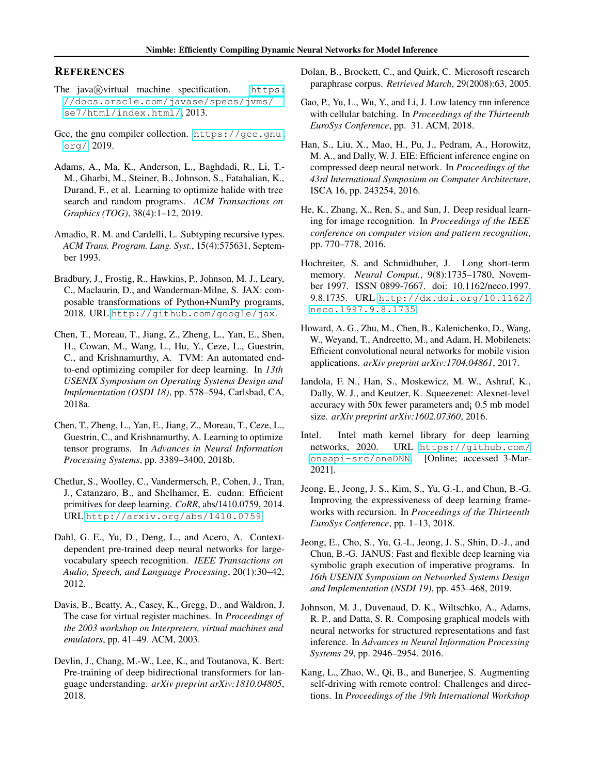#### **REFERENCES**

- <span id="page-10-22"></span>The java@virtual machine specification. [https:](https://docs.oracle.com/javase/specs/jvms/se7/html/index.html/) [//docs.oracle.com/javase/specs/jvms/](https://docs.oracle.com/javase/specs/jvms/se7/html/index.html/) [se7/html/index.html/](https://docs.oracle.com/javase/specs/jvms/se7/html/index.html/), 2013.
- <span id="page-10-21"></span>Gcc, the gnu compiler collection. [https://gcc.gnu.](https://gcc.gnu.org/) [org/](https://gcc.gnu.org/), 2019.
- <span id="page-10-12"></span>Adams, A., Ma, K., Anderson, L., Baghdadi, R., Li, T.- M., Gharbi, M., Steiner, B., Johnson, S., Fatahalian, K., Durand, F., et al. Learning to optimize halide with tree search and random programs. *ACM Transactions on Graphics (TOG)*, 38(4):1–12, 2019.
- <span id="page-10-13"></span>Amadio, R. M. and Cardelli, L. Subtyping recursive types. *ACM Trans. Program. Lang. Syst.*, 15(4):575631, September 1993.
- <span id="page-10-20"></span>Bradbury, J., Frostig, R., Hawkins, P., Johnson, M. J., Leary, C., Maclaurin, D., and Wanderman-Milne, S. JAX: composable transformations of Python+NumPy programs, 2018. URL <http://github.com/google/jax>.
- <span id="page-10-10"></span>Chen, T., Moreau, T., Jiang, Z., Zheng, L., Yan, E., Shen, H., Cowan, M., Wang, L., Hu, Y., Ceze, L., Guestrin, C., and Krishnamurthy, A. TVM: An automated endto-end optimizing compiler for deep learning. In *13th USENIX Symposium on Operating Systems Design and Implementation (OSDI 18)*, pp. 578–594, Carlsbad, CA, 2018a.
- <span id="page-10-11"></span>Chen, T., Zheng, L., Yan, E., Jiang, Z., Moreau, T., Ceze, L., Guestrin, C., and Krishnamurthy, A. Learning to optimize tensor programs. In *Advances in Neural Information Processing Systems*, pp. 3389–3400, 2018b.
- <span id="page-10-8"></span>Chetlur, S., Woolley, C., Vandermersch, P., Cohen, J., Tran, J., Catanzaro, B., and Shelhamer, E. cudnn: Efficient primitives for deep learning. *CoRR*, abs/1410.0759, 2014. URL <http://arxiv.org/abs/1410.0759>.
- <span id="page-10-0"></span>Dahl, G. E., Yu, D., Deng, L., and Acero, A. Contextdependent pre-trained deep neural networks for largevocabulary speech recognition. *IEEE Transactions on Audio, Speech, and Language Processing*, 20(1):30–42, 2012.
- <span id="page-10-14"></span>Davis, B., Beatty, A., Casey, K., Gregg, D., and Waldron, J. The case for virtual register machines. In *Proceedings of the 2003 workshop on Interpreters, virtual machines and emulators*, pp. 41–49. ACM, 2003.
- <span id="page-10-4"></span>Devlin, J., Chang, M.-W., Lee, K., and Toutanova, K. Bert: Pre-training of deep bidirectional transformers for language understanding. *arXiv preprint arXiv:1810.04805*, 2018.
- <span id="page-10-16"></span>Dolan, B., Brockett, C., and Quirk, C. Microsoft research paraphrase corpus. *Retrieved March*, 29(2008):63, 2005.
- <span id="page-10-5"></span>Gao, P., Yu, L., Wu, Y., and Li, J. Low latency rnn inference with cellular batching. In *Proceedings of the Thirteenth EuroSys Conference*, pp. 31. ACM, 2018.
- <span id="page-10-1"></span>Han, S., Liu, X., Mao, H., Pu, J., Pedram, A., Horowitz, M. A., and Dally, W. J. EIE: Efficient inference engine on compressed deep neural network. In *Proceedings of the 43rd International Symposium on Computer Architecture*, ISCA 16, pp. 243254, 2016.
- <span id="page-10-17"></span>He, K., Zhang, X., Ren, S., and Sun, J. Deep residual learning for image recognition. In *Proceedings of the IEEE conference on computer vision and pattern recognition*, pp. 770–778, 2016.
- <span id="page-10-3"></span>Hochreiter, S. and Schmidhuber, J. Long short-term memory. *Neural Comput.*, 9(8):1735–1780, November 1997. ISSN 0899-7667. doi: 10.1162/neco.1997. 9.8.1735. URL [http://dx.doi.org/10.1162/](http://dx.doi.org/10.1162/neco.1997.9.8.1735) [neco.1997.9.8.1735](http://dx.doi.org/10.1162/neco.1997.9.8.1735).
- <span id="page-10-18"></span>Howard, A. G., Zhu, M., Chen, B., Kalenichenko, D., Wang, W., Weyand, T., Andreetto, M., and Adam, H. Mobilenets: Efficient convolutional neural networks for mobile vision applications. *arXiv preprint arXiv:1704.04861*, 2017.
- <span id="page-10-19"></span>Iandola, F. N., Han, S., Moskewicz, M. W., Ashraf, K., Dally, W. J., and Keutzer, K. Squeezenet: Alexnet-level accuracy with 50x fewer parameters and¡ 0.5 mb model size. *arXiv preprint arXiv:1602.07360*, 2016.
- <span id="page-10-9"></span>Intel. Intel math kernel library for deep learning networks, 2020. URL [https://github.com/](https://github.com/oneapi-src/oneDNN) [oneapi-src/oneDNN](https://github.com/oneapi-src/oneDNN). [Online; accessed 3-Mar-2021].
- <span id="page-10-6"></span>Jeong, E., Jeong, J. S., Kim, S., Yu, G.-I., and Chun, B.-G. Improving the expressiveness of deep learning frameworks with recursion. In *Proceedings of the Thirteenth EuroSys Conference*, pp. 1–13, 2018.
- <span id="page-10-7"></span>Jeong, E., Cho, S., Yu, G.-I., Jeong, J. S., Shin, D.-J., and Chun, B.-G. JANUS: Fast and flexible deep learning via symbolic graph execution of imperative programs. In *16th USENIX Symposium on Networked Systems Design and Implementation (NSDI 19)*, pp. 453–468, 2019.
- <span id="page-10-2"></span>Johnson, M. J., Duvenaud, D. K., Wiltschko, A., Adams, R. P., and Datta, S. R. Composing graphical models with neural networks for structured representations and fast inference. In *Advances in Neural Information Processing Systems 29*, pp. 2946–2954. 2016.
- <span id="page-10-15"></span>Kang, L., Zhao, W., Qi, B., and Banerjee, S. Augmenting self-driving with remote control: Challenges and directions. In *Proceedings of the 19th International Workshop*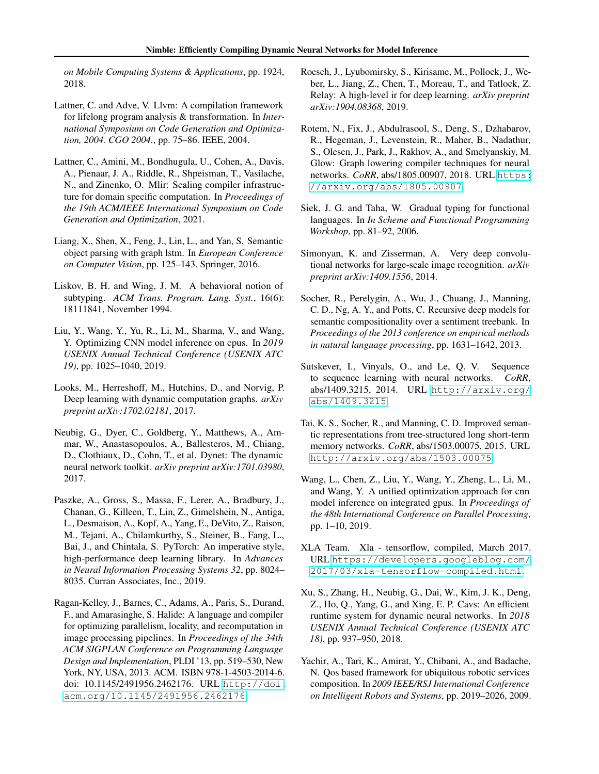*on Mobile Computing Systems & Applications*, pp. 1924, 2018.

- <span id="page-11-19"></span>Lattner, C. and Adve, V. Llvm: A compilation framework for lifelong program analysis & transformation. In *International Symposium on Code Generation and Optimization, 2004. CGO 2004.*, pp. 75–86. IEEE, 2004.
- <span id="page-11-10"></span>Lattner, C., Amini, M., Bondhugula, U., Cohen, A., Davis, A., Pienaar, J. A., Riddle, R., Shpeisman, T., Vasilache, N., and Zinenko, O. Mlir: Scaling compiler infrastructure for domain specific computation. In *Proceedings of the 19th ACM/IEEE International Symposium on Code Generation and Optimization*, 2021.
- <span id="page-11-4"></span>Liang, X., Shen, X., Feng, J., Lin, L., and Yan, S. Semantic object parsing with graph lstm. In *European Conference on Computer Vision*, pp. 125–143. Springer, 2016.
- <span id="page-11-13"></span>Liskov, B. H. and Wing, J. M. A behavioral notion of subtyping. *ACM Trans. Program. Lang. Syst.*, 16(6): 18111841, November 1994.
- <span id="page-11-0"></span>Liu, Y., Wang, Y., Yu, R., Li, M., Sharma, V., and Wang, Y. Optimizing CNN model inference on cpus. In *2019 USENIX Annual Technical Conference (USENIX ATC 19)*, pp. 1025–1040, 2019.
- <span id="page-11-7"></span>Looks, M., Herreshoff, M., Hutchins, D., and Norvig, P. Deep learning with dynamic computation graphs. *arXiv preprint arXiv:1702.02181*, 2017.
- <span id="page-11-6"></span>Neubig, G., Dyer, C., Goldberg, Y., Matthews, A., Ammar, W., Anastasopoulos, A., Ballesteros, M., Chiang, D., Clothiaux, D., Cohn, T., et al. Dynet: The dynamic neural network toolkit. *arXiv preprint arXiv:1701.03980*, 2017.
- <span id="page-11-18"></span>Paszke, A., Gross, S., Massa, F., Lerer, A., Bradbury, J., Chanan, G., Killeen, T., Lin, Z., Gimelshein, N., Antiga, L., Desmaison, A., Kopf, A., Yang, E., DeVito, Z., Raison, M., Tejani, A., Chilamkurthy, S., Steiner, B., Fang, L., Bai, J., and Chintala, S. PyTorch: An imperative style, high-performance deep learning library. In *Advances in Neural Information Processing Systems 32*, pp. 8024– 8035. Curran Associates, Inc., 2019.
- <span id="page-11-14"></span>Ragan-Kelley, J., Barnes, C., Adams, A., Paris, S., Durand, F., and Amarasinghe, S. Halide: A language and compiler for optimizing parallelism, locality, and recomputation in image processing pipelines. In *Proceedings of the 34th ACM SIGPLAN Conference on Programming Language Design and Implementation*, PLDI '13, pp. 519–530, New York, NY, USA, 2013. ACM. ISBN 978-1-4503-2014-6. doi: 10.1145/2491956.2462176. URL [http://doi.](http://doi.acm.org/10.1145/2491956.2462176) [acm.org/10.1145/2491956.2462176](http://doi.acm.org/10.1145/2491956.2462176).
- <span id="page-11-11"></span>Roesch, J., Lyubomirsky, S., Kirisame, M., Pollock, J., Weber, L., Jiang, Z., Chen, T., Moreau, T., and Tatlock, Z. Relay: A high-level ir for deep learning. *arXiv preprint arXiv:1904.08368*, 2019.
- <span id="page-11-9"></span>Rotem, N., Fix, J., Abdulrasool, S., Deng, S., Dzhabarov, R., Hegeman, J., Levenstein, R., Maher, B., Nadathur, S., Olesen, J., Park, J., Rakhov, A., and Smelyanskiy, M. Glow: Graph lowering compiler techniques for neural networks. *CoRR*, abs/1805.00907, 2018. URL [https:](https://arxiv.org/abs/1805.00907) [//arxiv.org/abs/1805.00907](https://arxiv.org/abs/1805.00907).
- <span id="page-11-12"></span>Siek, J. G. and Taha, W. Gradual typing for functional languages. In *In Scheme and Functional Programming Workshop*, pp. 81–92, 2006.
- <span id="page-11-17"></span>Simonyan, K. and Zisserman, A. Very deep convolutional networks for large-scale image recognition. *arXiv preprint arXiv:1409.1556*, 2014.
- <span id="page-11-16"></span>Socher, R., Perelygin, A., Wu, J., Chuang, J., Manning, C. D., Ng, A. Y., and Potts, C. Recursive deep models for semantic compositionality over a sentiment treebank. In *Proceedings of the 2013 conference on empirical methods in natural language processing*, pp. 1631–1642, 2013.
- <span id="page-11-2"></span>Sutskever, I., Vinyals, O., and Le, Q. V. Sequence to sequence learning with neural networks. *CoRR*, abs/1409.3215, 2014. URL [http://arxiv.org/](http://arxiv.org/abs/1409.3215) [abs/1409.3215](http://arxiv.org/abs/1409.3215).
- <span id="page-11-3"></span>Tai, K. S., Socher, R., and Manning, C. D. Improved semantic representations from tree-structured long short-term memory networks. *CoRR*, abs/1503.00075, 2015. URL <http://arxiv.org/abs/1503.00075>.
- <span id="page-11-1"></span>Wang, L., Chen, Z., Liu, Y., Wang, Y., Zheng, L., Li, M., and Wang, Y. A unified optimization approach for cnn model inference on integrated gpus. In *Proceedings of the 48th International Conference on Parallel Processing*, pp. 1–10, 2019.
- <span id="page-11-8"></span>XLA Team. Xla - tensorflow, compiled, March 2017. URL [https://developers.googleblog.com/](https://developers.googleblog.com/2017/03/xla-tensorflow-compiled.html) [2017/03/xla-tensorflow-compiled.html](https://developers.googleblog.com/2017/03/xla-tensorflow-compiled.html).
- <span id="page-11-5"></span>Xu, S., Zhang, H., Neubig, G., Dai, W., Kim, J. K., Deng, Z., Ho, Q., Yang, G., and Xing, E. P. Cavs: An efficient runtime system for dynamic neural networks. In *2018 USENIX Annual Technical Conference (USENIX ATC 18)*, pp. 937–950, 2018.
- <span id="page-11-15"></span>Yachir, A., Tari, K., Amirat, Y., Chibani, A., and Badache, N. Qos based framework for ubiquitous robotic services composition. In *2009 IEEE/RSJ International Conference on Intelligent Robots and Systems*, pp. 2019–2026, 2009.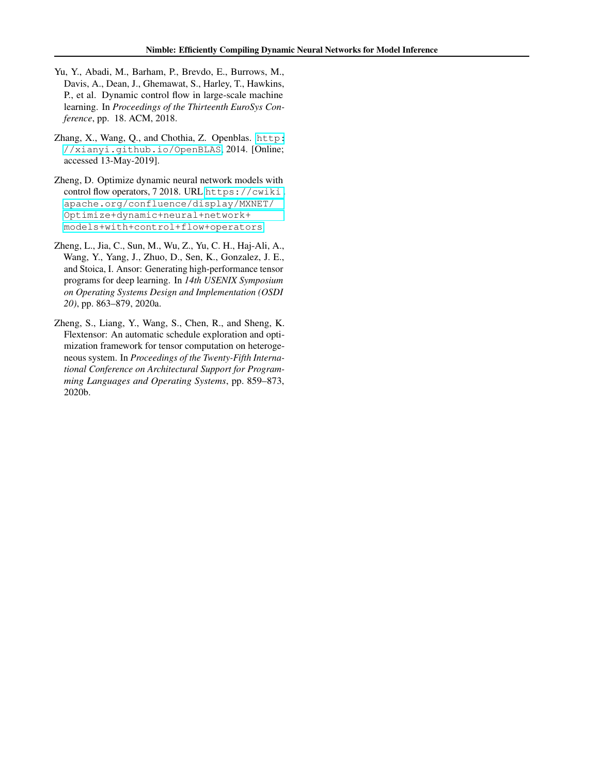- <span id="page-12-0"></span>Yu, Y., Abadi, M., Barham, P., Brevdo, E., Burrows, M., Davis, A., Dean, J., Ghemawat, S., Harley, T., Hawkins, P., et al. Dynamic control flow in large-scale machine learning. In *Proceedings of the Thirteenth EuroSys Conference*, pp. 18. ACM, 2018.
- <span id="page-12-1"></span>Zhang, X., Wang, Q., and Chothia, Z. Openblas. [http:](http://xianyi.github.io/OpenBLAS) [//xianyi.github.io/OpenBLAS](http://xianyi.github.io/OpenBLAS), 2014. [Online; accessed 13-May-2019].
- <span id="page-12-4"></span>Zheng, D. Optimize dynamic neural network models with control flow operators, 7 2018. URL [https://cwiki.](https://cwiki.apache.org/confluence/display/MXNET/Optimize+dynamic+neural+network+models+with+control+flow+operators) [apache.org/confluence/display/MXNET/](https://cwiki.apache.org/confluence/display/MXNET/Optimize+dynamic+neural+network+models+with+control+flow+operators) [Optimize+dynamic+neural+network+](https://cwiki.apache.org/confluence/display/MXNET/Optimize+dynamic+neural+network+models+with+control+flow+operators) [models+with+control+flow+operators](https://cwiki.apache.org/confluence/display/MXNET/Optimize+dynamic+neural+network+models+with+control+flow+operators).
- <span id="page-12-3"></span>Zheng, L., Jia, C., Sun, M., Wu, Z., Yu, C. H., Haj-Ali, A., Wang, Y., Yang, J., Zhuo, D., Sen, K., Gonzalez, J. E., and Stoica, I. Ansor: Generating high-performance tensor programs for deep learning. In *14th USENIX Symposium on Operating Systems Design and Implementation (OSDI 20)*, pp. 863–879, 2020a.
- <span id="page-12-2"></span>Zheng, S., Liang, Y., Wang, S., Chen, R., and Sheng, K. Flextensor: An automatic schedule exploration and optimization framework for tensor computation on heterogeneous system. In *Proceedings of the Twenty-Fifth International Conference on Architectural Support for Programming Languages and Operating Systems*, pp. 859–873, 2020b.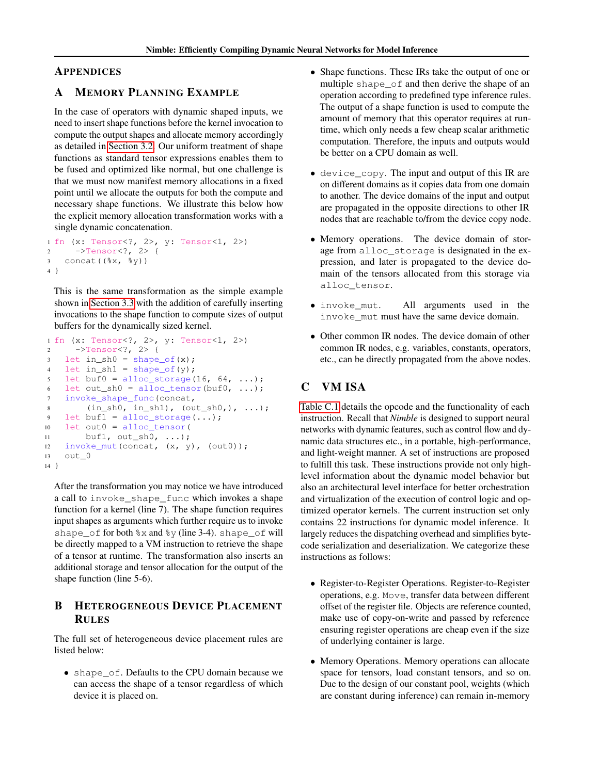### <span id="page-13-0"></span>APPENDICES

### A MEMORY PLANNING EXAMPLE

In the case of operators with dynamic shaped inputs, we need to insert shape functions before the kernel invocation to compute the output shapes and allocate memory accordingly as detailed in [Section 3.2.](#page-3-1) Our uniform treatment of shape functions as standard tensor expressions enables them to be fused and optimized like normal, but one challenge is that we must now manifest memory allocations in a fixed point until we allocate the outputs for both the compute and necessary shape functions. We illustrate this below how the explicit memory allocation transformation works with a single dynamic concatenation.

```
1 fn (x: Tensor<?, 2>, y: Tensor<1, 2>)
2 ->Tensor<?, 2> {
3 concat((%x, %y))
4 }
```
This is the same transformation as the simple example shown in [Section 3.3](#page-4-0) with the addition of carefully inserting invocations to the shape function to compute sizes of output buffers for the dynamically sized kernel.

```
1 fn (x: Tensor<?, 2>, y: Tensor<1, 2>)
2 ->Tensor<?, 2> {
3 let in_sh0 = shape_of(x);
4 let in sh1 = shape_of(y);
5 let buf0 = alloc_storage(16, 64, \ldots);
6 let out_sh0 = alloc_tensor(buf0, ...);
7 invoke_shape_func(concat,
8 (in_sh0, in_sh1), (out_sh0,), ...);
9 let buf1 = alloc\_storage(...);10 let out0 = alloc_tensor(
11 buf1, out_sh0, ...);
12 invoke_mut(concat, (x, y), (out0));
13 out_0
14 }
```
After the transformation you may notice we have introduced a call to invoke\_shape\_func which invokes a shape function for a kernel (line 7). The shape function requires input shapes as arguments which further require us to invoke shape\_of for both %x and %y (line 3-4). shape\_of will be directly mapped to a VM instruction to retrieve the shape of a tensor at runtime. The transformation also inserts an additional storage and tensor allocation for the output of the shape function (line 5-6).

### <span id="page-13-1"></span>B HETEROGENEOUS DEVICE PLACEMENT RULES

The full set of heterogeneous device placement rules are listed below:

• shape\_of. Defaults to the CPU domain because we can access the shape of a tensor regardless of which device it is placed on.

- Shape functions. These IRs take the output of one or multiple shape\_of and then derive the shape of an operation according to predefined type inference rules. The output of a shape function is used to compute the amount of memory that this operator requires at runtime, which only needs a few cheap scalar arithmetic computation. Therefore, the inputs and outputs would be better on a CPU domain as well.
- device\_copy. The input and output of this IR are on different domains as it copies data from one domain to another. The device domains of the input and output are propagated in the opposite directions to other IR nodes that are reachable to/from the device copy node.
- Memory operations. The device domain of storage from alloc\_storage is designated in the expression, and later is propagated to the device domain of the tensors allocated from this storage via alloc\_tensor.
- invoke mut. All arguments used in the invoke mut must have the same device domain.
- Other common IR nodes. The device domain of other common IR nodes, e.g. variables, constants, operators, etc., can be directly propagated from the above nodes.

## <span id="page-13-2"></span>C VM ISA

[Table C.1](#page-14-0) details the opcode and the functionality of each instruction. Recall that *Nimble* is designed to support neural networks with dynamic features, such as control flow and dynamic data structures etc., in a portable, high-performance, and light-weight manner. A set of instructions are proposed to fulfill this task. These instructions provide not only highlevel information about the dynamic model behavior but also an architectural level interface for better orchestration and virtualization of the execution of control logic and optimized operator kernels. The current instruction set only contains 22 instructions for dynamic model inference. It largely reduces the dispatching overhead and simplifies bytecode serialization and deserialization. We categorize these instructions as follows:

- Register-to-Register Operations. Register-to-Register operations, e.g. Move, transfer data between different offset of the register file. Objects are reference counted, make use of copy-on-write and passed by reference ensuring register operations are cheap even if the size of underlying container is large.
- Memory Operations. Memory operations can allocate space for tensors, load constant tensors, and so on. Due to the design of our constant pool, weights (which are constant during inference) can remain in-memory